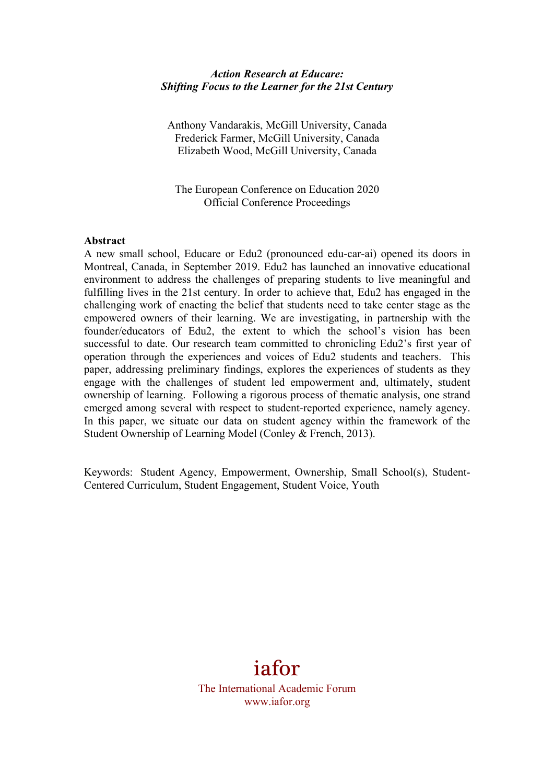#### *Action Research at Educare: Shifting Focus to the Learner for the 21st Century*

Anthony Vandarakis, McGill University, Canada Frederick Farmer, McGill University, Canada Elizabeth Wood, McGill University, Canada

The European Conference on Education 2020 Official Conference Proceedings

#### **Abstract**

A new small school, Educare or Edu2 (pronounced edu-car-ai) opened its doors in Montreal, Canada, in September 2019. Edu2 has launched an innovative educational environment to address the challenges of preparing students to live meaningful and fulfilling lives in the 21st century. In order to achieve that, Edu2 has engaged in the challenging work of enacting the belief that students need to take center stage as the empowered owners of their learning. We are investigating, in partnership with the founder/educators of Edu2, the extent to which the school's vision has been successful to date. Our research team committed to chronicling Edu2's first year of operation through the experiences and voices of Edu2 students and teachers. This paper, addressing preliminary findings, explores the experiences of students as they engage with the challenges of student led empowerment and, ultimately, student ownership of learning. Following a rigorous process of thematic analysis, one strand emerged among several with respect to student-reported experience, namely agency. In this paper, we situate our data on student agency within the framework of the Student Ownership of Learning Model (Conley & French, 2013).

Keywords: Student Agency, Empowerment, Ownership, Small School(s), Student-Centered Curriculum, Student Engagement, Student Voice, Youth

# iafor

The International Academic Forum www.iafor.org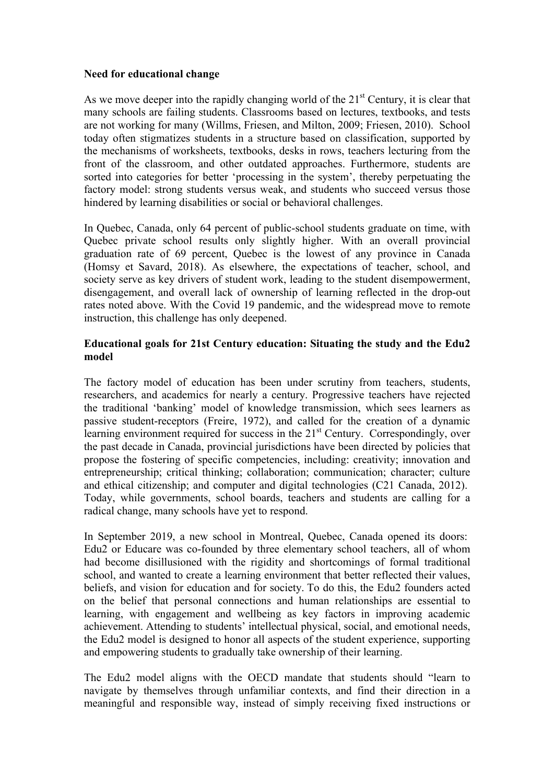#### **Need for educational change**

As we move deeper into the rapidly changing world of the  $21<sup>st</sup>$  Century, it is clear that many schools are failing students. Classrooms based on lectures, textbooks, and tests are not working for many (Willms, Friesen, and Milton, 2009; Friesen, 2010). School today often stigmatizes students in a structure based on classification, supported by the mechanisms of worksheets, textbooks, desks in rows, teachers lecturing from the front of the classroom, and other outdated approaches. Furthermore, students are sorted into categories for better 'processing in the system', thereby perpetuating the factory model: strong students versus weak, and students who succeed versus those hindered by learning disabilities or social or behavioral challenges.

In Quebec, Canada, only 64 percent of public-school students graduate on time, with Quebec private school results only slightly higher. With an overall provincial graduation rate of 69 percent, Quebec is the lowest of any province in Canada (Homsy et Savard, 2018). As elsewhere, the expectations of teacher, school, and society serve as key drivers of student work, leading to the student disempowerment, disengagement, and overall lack of ownership of learning reflected in the drop-out rates noted above. With the Covid 19 pandemic, and the widespread move to remote instruction, this challenge has only deepened.

## **Educational goals for 21st Century education: Situating the study and the Edu2 model**

The factory model of education has been under scrutiny from teachers, students, researchers, and academics for nearly a century. Progressive teachers have rejected the traditional 'banking' model of knowledge transmission, which sees learners as passive student-receptors (Freire, 1972), and called for the creation of a dynamic learning environment required for success in the  $21<sup>st</sup>$  Century. Correspondingly, over the past decade in Canada, provincial jurisdictions have been directed by policies that propose the fostering of specific competencies, including: creativity; innovation and entrepreneurship; critical thinking; collaboration; communication; character; culture and ethical citizenship; and computer and digital technologies (C21 Canada, 2012). Today, while governments, school boards, teachers and students are calling for a radical change, many schools have yet to respond.

In September 2019, a new school in Montreal, Quebec, Canada opened its doors: Edu2 or Educare was co-founded by three elementary school teachers, all of whom had become disillusioned with the rigidity and shortcomings of formal traditional school, and wanted to create a learning environment that better reflected their values, beliefs, and vision for education and for society. To do this, the Edu2 founders acted on the belief that personal connections and human relationships are essential to learning, with engagement and wellbeing as key factors in improving academic achievement. Attending to students' intellectual physical, social, and emotional needs, the Edu2 model is designed to honor all aspects of the student experience, supporting and empowering students to gradually take ownership of their learning.

The Edu2 model aligns with the OECD mandate that students should "learn to navigate by themselves through unfamiliar contexts, and find their direction in a meaningful and responsible way, instead of simply receiving fixed instructions or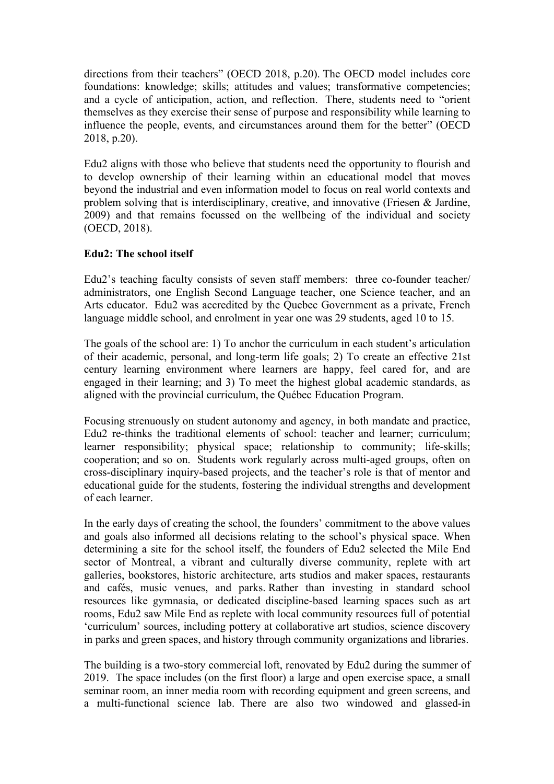directions from their teachers" (OECD 2018, p.20). The OECD model includes core foundations: knowledge; skills; attitudes and values; transformative competencies; and a cycle of anticipation, action, and reflection. There, students need to "orient themselves as they exercise their sense of purpose and responsibility while learning to influence the people, events, and circumstances around them for the better" (OECD 2018, p.20).

Edu2 aligns with those who believe that students need the opportunity to flourish and to develop ownership of their learning within an educational model that moves beyond the industrial and even information model to focus on real world contexts and problem solving that is interdisciplinary, creative, and innovative (Friesen & Jardine, 2009) and that remains focussed on the wellbeing of the individual and society (OECD, 2018).

# **Edu2: The school itself**

Edu2's teaching faculty consists of seven staff members: three co-founder teacher/ administrators, one English Second Language teacher, one Science teacher, and an Arts educator. Edu2 was accredited by the Quebec Government as a private, French language middle school, and enrolment in year one was 29 students, aged 10 to 15.

The goals of the school are: 1) To anchor the curriculum in each student's articulation of their academic, personal, and long-term life goals; 2) To create an effective 21st century learning environment where learners are happy, feel cared for, and are engaged in their learning; and 3) To meet the highest global academic standards, as aligned with the provincial curriculum, the Québec Education Program.

Focusing strenuously on student autonomy and agency, in both mandate and practice, Edu2 re-thinks the traditional elements of school: teacher and learner; curriculum; learner responsibility; physical space; relationship to community; life-skills; cooperation; and so on. Students work regularly across multi-aged groups, often on cross-disciplinary inquiry-based projects, and the teacher's role is that of mentor and educational guide for the students, fostering the individual strengths and development of each learner.

In the early days of creating the school, the founders' commitment to the above values and goals also informed all decisions relating to the school's physical space. When determining a site for the school itself, the founders of Edu2 selected the Mile End sector of Montreal, a vibrant and culturally diverse community, replete with art galleries, bookstores, historic architecture, arts studios and maker spaces, restaurants and cafés, music venues, and parks. Rather than investing in standard school resources like gymnasia, or dedicated discipline-based learning spaces such as art rooms, Edu2 saw Mile End as replete with local community resources full of potential 'curriculum' sources, including pottery at collaborative art studios, science discovery in parks and green spaces, and history through community organizations and libraries.

The building is a two-story commercial loft, renovated by Edu2 during the summer of 2019. The space includes (on the first floor) a large and open exercise space, a small seminar room, an inner media room with recording equipment and green screens, and a multi-functional science lab. There are also two windowed and glassed-in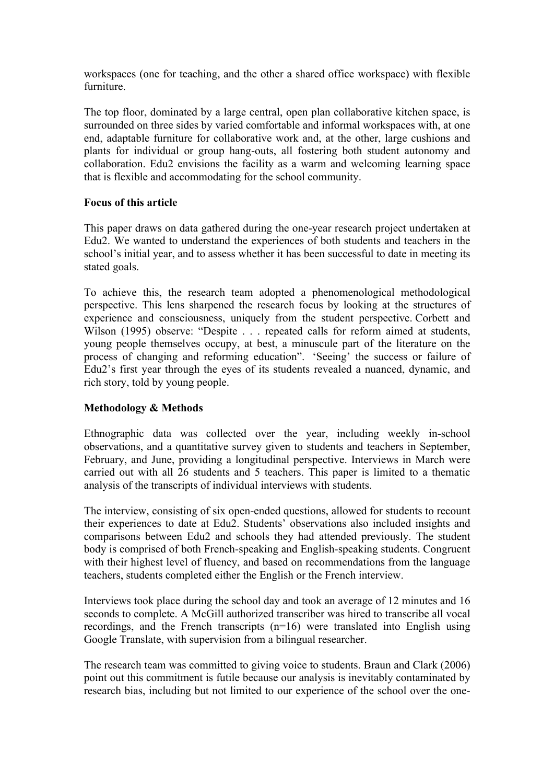workspaces (one for teaching, and the other a shared office workspace) with flexible furniture.

The top floor, dominated by a large central, open plan collaborative kitchen space, is surrounded on three sides by varied comfortable and informal workspaces with, at one end, adaptable furniture for collaborative work and, at the other, large cushions and plants for individual or group hang-outs, all fostering both student autonomy and collaboration. Edu2 envisions the facility as a warm and welcoming learning space that is flexible and accommodating for the school community.

## **Focus of this article**

This paper draws on data gathered during the one-year research project undertaken at Edu2. We wanted to understand the experiences of both students and teachers in the school's initial year, and to assess whether it has been successful to date in meeting its stated goals.

To achieve this, the research team adopted a phenomenological methodological perspective. This lens sharpened the research focus by looking at the structures of experience and consciousness, uniquely from the student perspective. Corbett and Wilson (1995) observe: "Despite . . . repeated calls for reform aimed at students, young people themselves occupy, at best, a minuscule part of the literature on the process of changing and reforming education". 'Seeing' the success or failure of Edu2's first year through the eyes of its students revealed a nuanced, dynamic, and rich story, told by young people.

# **Methodology & Methods**

Ethnographic data was collected over the year, including weekly in-school observations, and a quantitative survey given to students and teachers in September, February, and June, providing a longitudinal perspective. Interviews in March were carried out with all 26 students and 5 teachers. This paper is limited to a thematic analysis of the transcripts of individual interviews with students.

The interview, consisting of six open-ended questions, allowed for students to recount their experiences to date at Edu2. Students' observations also included insights and comparisons between Edu2 and schools they had attended previously. The student body is comprised of both French-speaking and English-speaking students. Congruent with their highest level of fluency, and based on recommendations from the language teachers, students completed either the English or the French interview.

Interviews took place during the school day and took an average of 12 minutes and 16 seconds to complete. A McGill authorized transcriber was hired to transcribe all vocal recordings, and the French transcripts (n=16) were translated into English using Google Translate, with supervision from a bilingual researcher.

The research team was committed to giving voice to students. Braun and Clark (2006) point out this commitment is futile because our analysis is inevitably contaminated by research bias, including but not limited to our experience of the school over the one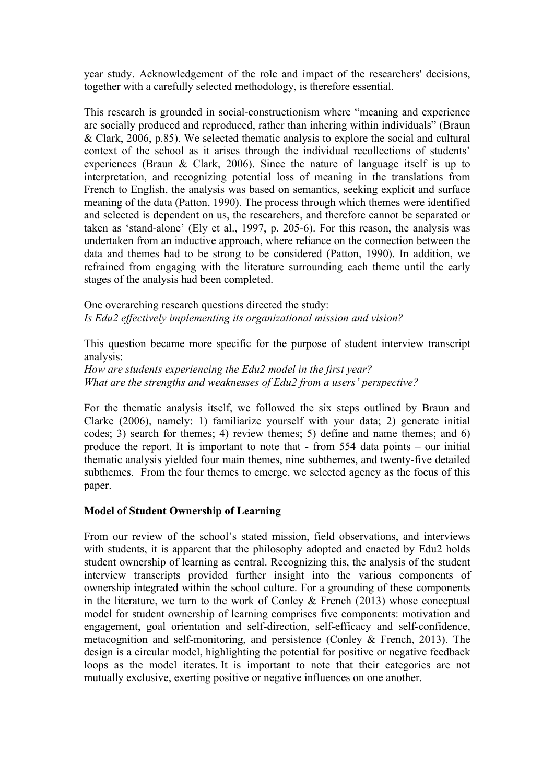year study. Acknowledgement of the role and impact of the researchers' decisions, together with a carefully selected methodology, is therefore essential.

This research is grounded in social-constructionism where "meaning and experience are socially produced and reproduced, rather than inhering within individuals" (Braun & Clark, 2006, p.85). We selected thematic analysis to explore the social and cultural context of the school as it arises through the individual recollections of students' experiences (Braun & Clark, 2006). Since the nature of language itself is up to interpretation, and recognizing potential loss of meaning in the translations from French to English, the analysis was based on semantics, seeking explicit and surface meaning of the data (Patton, 1990). The process through which themes were identified and selected is dependent on us, the researchers, and therefore cannot be separated or taken as 'stand-alone' (Ely et al., 1997, p. 205-6). For this reason, the analysis was undertaken from an inductive approach, where reliance on the connection between the data and themes had to be strong to be considered (Patton, 1990). In addition, we refrained from engaging with the literature surrounding each theme until the early stages of the analysis had been completed.

One overarching research questions directed the study: *Is Edu2 effectively implementing its organizational mission and vision?* 

This question became more specific for the purpose of student interview transcript analysis:

*How are students experiencing the Edu2 model in the first year? What are the strengths and weaknesses of Edu2 from a users' perspective?*

For the thematic analysis itself, we followed the six steps outlined by Braun and Clarke (2006), namely: 1) familiarize yourself with your data; 2) generate initial codes; 3) search for themes; 4) review themes; 5) define and name themes; and 6) produce the report. It is important to note that - from 554 data points – our initial thematic analysis yielded four main themes, nine subthemes, and twenty-five detailed subthemes. From the four themes to emerge, we selected agency as the focus of this paper.

#### **Model of Student Ownership of Learning**

From our review of the school's stated mission, field observations, and interviews with students, it is apparent that the philosophy adopted and enacted by Edu2 holds student ownership of learning as central. Recognizing this, the analysis of the student interview transcripts provided further insight into the various components of ownership integrated within the school culture. For a grounding of these components in the literature, we turn to the work of Conley  $\&$  French (2013) whose conceptual model for student ownership of learning comprises five components: motivation and engagement, goal orientation and self-direction, self-efficacy and self-confidence, metacognition and self-monitoring, and persistence (Conley & French, 2013). The design is a circular model, highlighting the potential for positive or negative feedback loops as the model iterates. It is important to note that their categories are not mutually exclusive, exerting positive or negative influences on one another.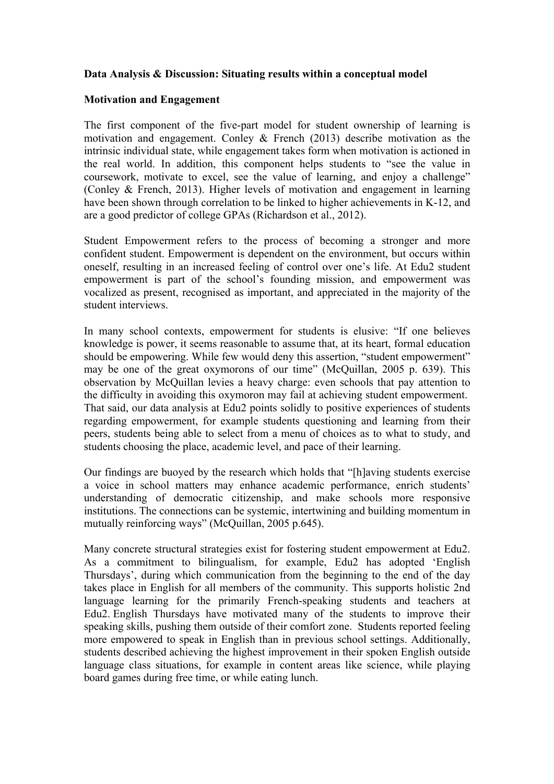#### **Data Analysis & Discussion: Situating results within a conceptual model**

#### **Motivation and Engagement**

The first component of the five-part model for student ownership of learning is motivation and engagement. Conley & French (2013) describe motivation as the intrinsic individual state, while engagement takes form when motivation is actioned in the real world. In addition, this component helps students to "see the value in coursework, motivate to excel, see the value of learning, and enjoy a challenge" (Conley & French, 2013). Higher levels of motivation and engagement in learning have been shown through correlation to be linked to higher achievements in K-12, and are a good predictor of college GPAs (Richardson et al., 2012).

Student Empowerment refers to the process of becoming a stronger and more confident student. Empowerment is dependent on the environment, but occurs within oneself, resulting in an increased feeling of control over one's life. At Edu2 student empowerment is part of the school's founding mission, and empowerment was vocalized as present, recognised as important, and appreciated in the majority of the student interviews.

In many school contexts, empowerment for students is elusive: "If one believes knowledge is power, it seems reasonable to assume that, at its heart, formal education should be empowering. While few would deny this assertion, "student empowerment" may be one of the great oxymorons of our time" (McQuillan, 2005 p. 639). This observation by McQuillan levies a heavy charge: even schools that pay attention to the difficulty in avoiding this oxymoron may fail at achieving student empowerment. That said, our data analysis at Edu2 points solidly to positive experiences of students regarding empowerment, for example students questioning and learning from their peers, students being able to select from a menu of choices as to what to study, and students choosing the place, academic level, and pace of their learning.

Our findings are buoyed by the research which holds that "[h]aving students exercise a voice in school matters may enhance academic performance, enrich students' understanding of democratic citizenship, and make schools more responsive institutions. The connections can be systemic, intertwining and building momentum in mutually reinforcing ways" (McQuillan, 2005 p.645).

Many concrete structural strategies exist for fostering student empowerment at Edu2. As a commitment to bilingualism, for example, Edu2 has adopted 'English Thursdays', during which communication from the beginning to the end of the day takes place in English for all members of the community. This supports holistic 2nd language learning for the primarily French-speaking students and teachers at Edu2. English Thursdays have motivated many of the students to improve their speaking skills, pushing them outside of their comfort zone. Students reported feeling more empowered to speak in English than in previous school settings. Additionally, students described achieving the highest improvement in their spoken English outside language class situations, for example in content areas like science, while playing board games during free time, or while eating lunch.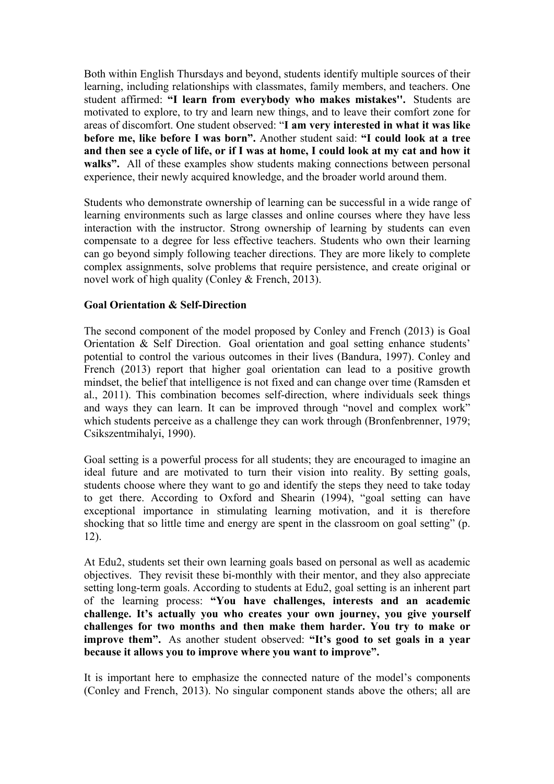Both within English Thursdays and beyond, students identify multiple sources of their learning, including relationships with classmates, family members, and teachers. One student affirmed: **"I learn from everybody who makes mistakes''.** Students are motivated to explore, to try and learn new things, and to leave their comfort zone for areas of discomfort. One student observed: "**I am very interested in what it was like before me, like before I was born".** Another student said: **"I could look at a tree and then see a cycle of life, or if I was at home, I could look at my cat and how it**  walks". All of these examples show students making connections between personal experience, their newly acquired knowledge, and the broader world around them.

Students who demonstrate ownership of learning can be successful in a wide range of learning environments such as large classes and online courses where they have less interaction with the instructor. Strong ownership of learning by students can even compensate to a degree for less effective teachers. Students who own their learning can go beyond simply following teacher directions. They are more likely to complete complex assignments, solve problems that require persistence, and create original or novel work of high quality (Conley & French, 2013).

## **Goal Orientation & Self-Direction**

The second component of the model proposed by Conley and French (2013) is Goal Orientation & Self Direction. Goal orientation and goal setting enhance students' potential to control the various outcomes in their lives (Bandura, 1997). Conley and French (2013) report that higher goal orientation can lead to a positive growth mindset, the belief that intelligence is not fixed and can change over time (Ramsden et al., 2011). This combination becomes self-direction, where individuals seek things and ways they can learn. It can be improved through "novel and complex work" which students perceive as a challenge they can work through (Bronfenbrenner, 1979; Csikszentmihalyi, 1990).

Goal setting is a powerful process for all students; they are encouraged to imagine an ideal future and are motivated to turn their vision into reality. By setting goals, students choose where they want to go and identify the steps they need to take today to get there. According to Oxford and Shearin (1994), "goal setting can have exceptional importance in stimulating learning motivation, and it is therefore shocking that so little time and energy are spent in the classroom on goal setting" (p. 12).

At Edu2, students set their own learning goals based on personal as well as academic objectives. They revisit these bi-monthly with their mentor, and they also appreciate setting long-term goals. According to students at Edu2, goal setting is an inherent part of the learning process: **"You have challenges, interests and an academic challenge. It's actually you who creates your own journey, you give yourself challenges for two months and then make them harder. You try to make or improve them".** As another student observed: **"It's good to set goals in a year because it allows you to improve where you want to improve".**

It is important here to emphasize the connected nature of the model's components (Conley and French, 2013). No singular component stands above the others; all are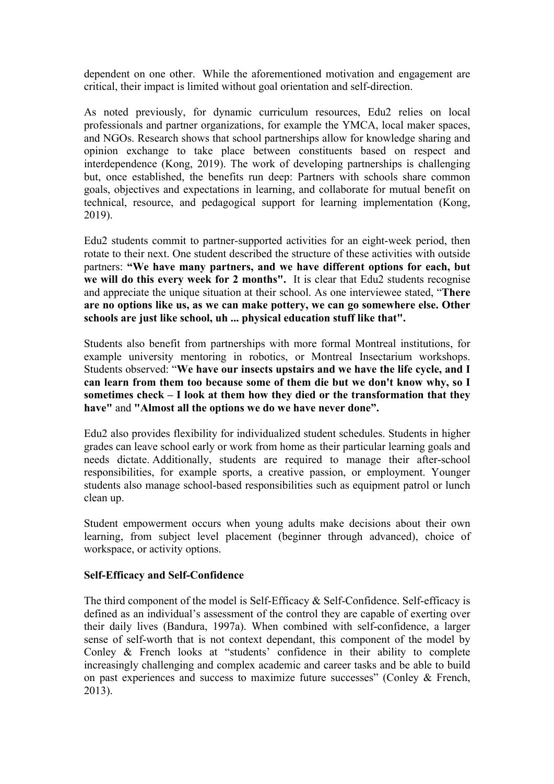dependent on one other. While the aforementioned motivation and engagement are critical, their impact is limited without goal orientation and self-direction.

As noted previously, for dynamic curriculum resources, Edu2 relies on local professionals and partner organizations, for example the YMCA, local maker spaces, and NGOs. Research shows that school partnerships allow for knowledge sharing and opinion exchange to take place between constituents based on respect and interdependence (Kong, 2019). The work of developing partnerships is challenging but, once established, the benefits run deep: Partners with schools share common goals, objectives and expectations in learning, and collaborate for mutual benefit on technical, resource, and pedagogical support for learning implementation (Kong, 2019).

Edu2 students commit to partner-supported activities for an eight-week period, then rotate to their next. One student described the structure of these activities with outside partners: **"We have many partners, and we have different options for each, but we will do this every week for 2 months".** It is clear that Edu2 students recognise and appreciate the unique situation at their school. As one interviewee stated, "**There are no options like us, as we can make pottery, we can go somewhere else. Other schools are just like school, uh ... physical education stuff like that".**

Students also benefit from partnerships with more formal Montreal institutions, for example university mentoring in robotics, or Montreal Insectarium workshops. Students observed: "**We have our insects upstairs and we have the life cycle, and I can learn from them too because some of them die but we don't know why, so I sometimes check – I look at them how they died or the transformation that they have"** and **"Almost all the options we do we have never done".**

Edu2 also provides flexibility for individualized student schedules. Students in higher grades can leave school early or work from home as their particular learning goals and needs dictate. Additionally, students are required to manage their after-school responsibilities, for example sports, a creative passion, or employment. Younger students also manage school-based responsibilities such as equipment patrol or lunch clean up.

Student empowerment occurs when young adults make decisions about their own learning, from subject level placement (beginner through advanced), choice of workspace, or activity options.

#### **Self-Efficacy and Self-Confidence**

The third component of the model is Self-Efficacy & Self-Confidence. Self-efficacy is defined as an individual's assessment of the control they are capable of exerting over their daily lives (Bandura, 1997a). When combined with self-confidence, a larger sense of self-worth that is not context dependant, this component of the model by Conley & French looks at "students' confidence in their ability to complete increasingly challenging and complex academic and career tasks and be able to build on past experiences and success to maximize future successes" (Conley & French, 2013).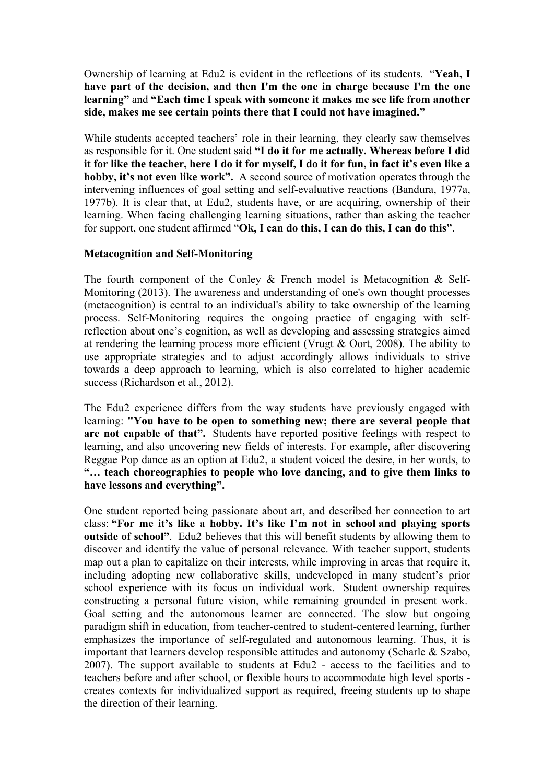Ownership of learning at Edu2 is evident in the reflections of its students. "**Yeah, I have part of the decision, and then I'm the one in charge because I'm the one learning"** and **"Each time I speak with someone it makes me see life from another side, makes me see certain points there that I could not have imagined."**

While students accepted teachers' role in their learning, they clearly saw themselves as responsible for it. One student said **"I do it for me actually. Whereas before I did it for like the teacher, here I do it for myself, I do it for fun, in fact it's even like a hobby, it's not even like work".** A second source of motivation operates through the intervening influences of goal setting and self-evaluative reactions (Bandura, 1977a, 1977b). It is clear that, at Edu2, students have, or are acquiring, ownership of their learning. When facing challenging learning situations, rather than asking the teacher for support, one student affirmed "**Ok, I can do this, I can do this, I can do this"**.

## **Metacognition and Self-Monitoring**

The fourth component of the Conley & French model is Metacognition & Self-Monitoring (2013). The awareness and understanding of one's own thought processes (metacognition) is central to an individual's ability to take ownership of the learning process. Self-Monitoring requires the ongoing practice of engaging with selfreflection about one's cognition, as well as developing and assessing strategies aimed at rendering the learning process more efficient (Vrugt & Oort, 2008). The ability to use appropriate strategies and to adjust accordingly allows individuals to strive towards a deep approach to learning, which is also correlated to higher academic success (Richardson et al., 2012).

The Edu2 experience differs from the way students have previously engaged with learning: **"You have to be open to something new; there are several people that are not capable of that".** Students have reported positive feelings with respect to learning, and also uncovering new fields of interests. For example, after discovering Reggae Pop dance as an option at Edu2, a student voiced the desire, in her words, to **"… teach choreographies to people who love dancing, and to give them links to have lessons and everything".**

One student reported being passionate about art, and described her connection to art class: **"For me it's like a hobby. It's like I'm not in school and playing sports outside of school"**. Edu2 believes that this will benefit students by allowing them to discover and identify the value of personal relevance. With teacher support, students map out a plan to capitalize on their interests, while improving in areas that require it, including adopting new collaborative skills, undeveloped in many student's prior school experience with its focus on individual work. Student ownership requires constructing a personal future vision, while remaining grounded in present work. Goal setting and the autonomous learner are connected. The slow but ongoing paradigm shift in education, from teacher-centred to student-centered learning, further emphasizes the importance of self-regulated and autonomous learning. Thus, it is important that learners develop responsible attitudes and autonomy (Scharle & Szabo, 2007). The support available to students at Edu2 - access to the facilities and to teachers before and after school, or flexible hours to accommodate high level sports creates contexts for individualized support as required, freeing students up to shape the direction of their learning.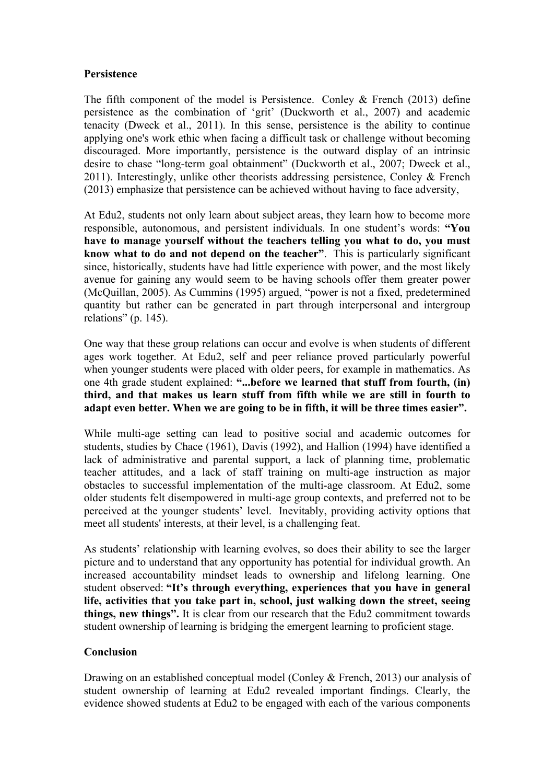## **Persistence**

The fifth component of the model is Persistence. Conley  $\&$  French (2013) define persistence as the combination of 'grit' (Duckworth et al., 2007) and academic tenacity (Dweck et al., 2011). In this sense, persistence is the ability to continue applying one's work ethic when facing a difficult task or challenge without becoming discouraged. More importantly, persistence is the outward display of an intrinsic desire to chase "long-term goal obtainment" (Duckworth et al., 2007; Dweck et al., 2011). Interestingly, unlike other theorists addressing persistence, Conley & French (2013) emphasize that persistence can be achieved without having to face adversity,

At Edu2, students not only learn about subject areas, they learn how to become more responsible, autonomous, and persistent individuals. In one student's words: **"You have to manage yourself without the teachers telling you what to do, you must know what to do and not depend on the teacher"**. This is particularly significant since, historically, students have had little experience with power, and the most likely avenue for gaining any would seem to be having schools offer them greater power (McQuillan, 2005). As Cummins (1995) argued, "power is not a fixed, predetermined quantity but rather can be generated in part through interpersonal and intergroup relations" (p. 145).

One way that these group relations can occur and evolve is when students of different ages work together. At Edu2, self and peer reliance proved particularly powerful when younger students were placed with older peers, for example in mathematics. As one 4th grade student explained: **"...before we learned that stuff from fourth, (in) third, and that makes us learn stuff from fifth while we are still in fourth to adapt even better. When we are going to be in fifth, it will be three times easier".**

While multi-age setting can lead to positive social and academic outcomes for students, studies by Chace (1961), Davis (1992), and Hallion (1994) have identified a lack of administrative and parental support, a lack of planning time, problematic teacher attitudes, and a lack of staff training on multi-age instruction as major obstacles to successful implementation of the multi-age classroom. At Edu2, some older students felt disempowered in multi-age group contexts, and preferred not to be perceived at the younger students' level. Inevitably, providing activity options that meet all students' interests, at their level, is a challenging feat.

As students' relationship with learning evolves, so does their ability to see the larger picture and to understand that any opportunity has potential for individual growth. An increased accountability mindset leads to ownership and lifelong learning. One student observed: **"It's through everything, experiences that you have in general life, activities that you take part in, school, just walking down the street, seeing things, new things".** It is clear from our research that the Edu2 commitment towards student ownership of learning is bridging the emergent learning to proficient stage.

# **Conclusion**

Drawing on an established conceptual model (Conley & French, 2013) our analysis of student ownership of learning at Edu2 revealed important findings. Clearly, the evidence showed students at Edu2 to be engaged with each of the various components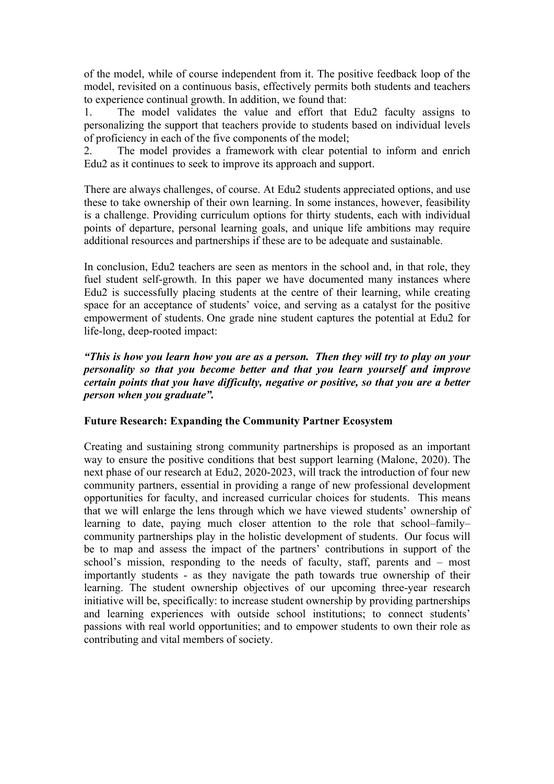of the model, while of course independent from it. The positive feedback loop of the model, revisited on a continuous basis, effectively permits both students and teachers to experience continual growth. In addition, we found that:

1. The model validates the value and effort that Edu2 faculty assigns to personalizing the support that teachers provide to students based on individual levels of proficiency in each of the five components of the model;

2. The model provides a framework with clear potential to inform and enrich Edu2 as it continues to seek to improve its approach and support.

There are always challenges, of course. At Edu2 students appreciated options, and use these to take ownership of their own learning. In some instances, however, feasibility is a challenge. Providing curriculum options for thirty students, each with individual points of departure, personal learning goals, and unique life ambitions may require additional resources and partnerships if these are to be adequate and sustainable.

In conclusion, Edu2 teachers are seen as mentors in the school and, in that role, they fuel student self-growth. In this paper we have documented many instances where Edu2 is successfully placing students at the centre of their learning, while creating space for an acceptance of students' voice, and serving as a catalyst for the positive empowerment of students. One grade nine student captures the potential at Edu2 for life-long, deep-rooted impact:

*"This is how you learn how you are as a person. Then they will try to play on your personality so that you become better and that you learn yourself and improve certain points that you have difficulty, negative or positive, so that you are a better person when you graduate".*

# **Future Research: Expanding the Community Partner Ecosystem**

Creating and sustaining strong community partnerships is proposed as an important way to ensure the positive conditions that best support learning (Malone, 2020). The next phase of our research at Edu2, 2020-2023, will track the introduction of four new community partners, essential in providing a range of new professional development opportunities for faculty, and increased curricular choices for students. This means that we will enlarge the lens through which we have viewed students' ownership of learning to date, paying much closer attention to the role that school–family– community partnerships play in the holistic development of students. Our focus will be to map and assess the impact of the partners' contributions in support of the school's mission, responding to the needs of faculty, staff, parents and – most importantly students - as they navigate the path towards true ownership of their learning. The student ownership objectives of our upcoming three-year research initiative will be, specifically: to increase student ownership by providing partnerships and learning experiences with outside school institutions; to connect students' passions with real world opportunities; and to empower students to own their role as contributing and vital members of society.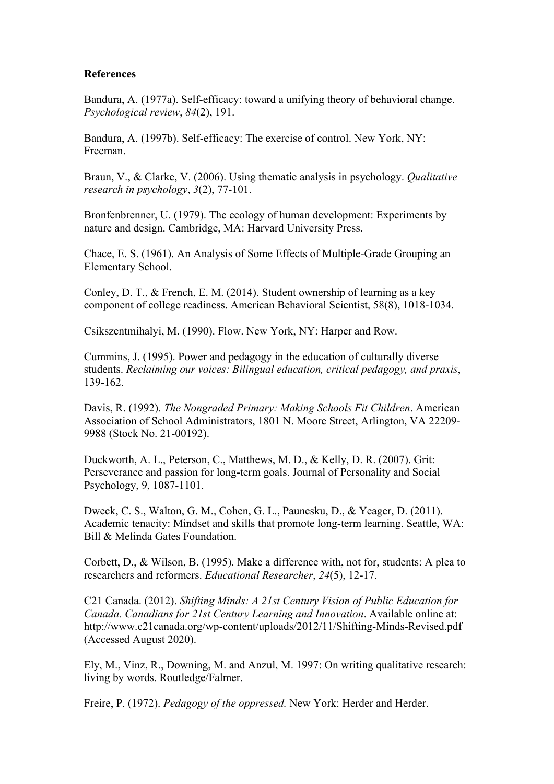#### **References**

Bandura, A. (1977a). Self-efficacy: toward a unifying theory of behavioral change. *Psychological review*, *84*(2), 191.

Bandura, A. (1997b). Self-efficacy: The exercise of control. New York, NY: Freeman.

Braun, V., & Clarke, V. (2006). Using thematic analysis in psychology. *Qualitative research in psychology*, *3*(2), 77-101.

Bronfenbrenner, U. (1979). The ecology of human development: Experiments by nature and design. Cambridge, MA: Harvard University Press.

Chace, E. S. (1961). An Analysis of Some Effects of Multiple-Grade Grouping an Elementary School.

Conley, D. T., & French, E. M. (2014). Student ownership of learning as a key component of college readiness. American Behavioral Scientist, 58(8), 1018-1034.

Csikszentmihalyi, M. (1990). Flow. New York, NY: Harper and Row.

Cummins, J. (1995). Power and pedagogy in the education of culturally diverse students. *Reclaiming our voices: Bilingual education, critical pedagogy, and praxis*, 139-162.

Davis, R. (1992). *The Nongraded Primary: Making Schools Fit Children*. American Association of School Administrators, 1801 N. Moore Street, Arlington, VA 22209- 9988 (Stock No. 21-00192).

Duckworth, A. L., Peterson, C., Matthews, M. D., & Kelly, D. R. (2007). Grit: Perseverance and passion for long-term goals. Journal of Personality and Social Psychology, 9, 1087-1101.

Dweck, C. S., Walton, G. M., Cohen, G. L., Paunesku, D., & Yeager, D. (2011). Academic tenacity: Mindset and skills that promote long-term learning. Seattle, WA: Bill & Melinda Gates Foundation.

Corbett, D., & Wilson, B. (1995). Make a difference with, not for, students: A plea to researchers and reformers. *Educational Researcher*, *24*(5), 12-17.

C21 Canada. (2012). *Shifting Minds: A 21st Century Vision of Public Education for Canada. Canadians for 21st Century Learning and Innovation*. Available online at: http://www.c21canada.org/wp-content/uploads/2012/11/Shifting-Minds-Revised.pdf (Accessed August 2020).

Ely, M., Vinz, R., Downing, M. and Anzul, M. 1997: On writing qualitative research: living by words. Routledge/Falmer.

Freire, P. (1972). *Pedagogy of the oppressed.* New York: Herder and Herder.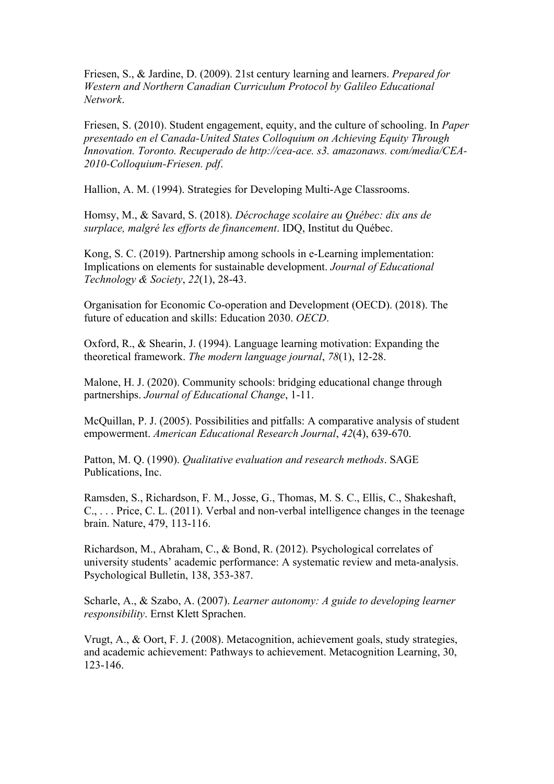Friesen, S., & Jardine, D. (2009). 21st century learning and learners. *Prepared for Western and Northern Canadian Curriculum Protocol by Galileo Educational Network*.

Friesen, S. (2010). Student engagement, equity, and the culture of schooling. In *Paper presentado en el Canada-United States Colloquium on Achieving Equity Through Innovation. Toronto. Recuperado de http://cea-ace. s3. amazonaws. com/media/CEA-2010-Colloquium-Friesen. pdf*.

Hallion, A. M. (1994). Strategies for Developing Multi-Age Classrooms.

Homsy, M., & Savard, S. (2018). *Décrochage scolaire au Québec: dix ans de surplace, malgré les efforts de financement*. IDQ, Institut du Québec.

Kong, S. C. (2019). Partnership among schools in e-Learning implementation: Implications on elements for sustainable development. *Journal of Educational Technology & Society*, *22*(1), 28-43.

Organisation for Economic Co-operation and Development (OECD). (2018). The future of education and skills: Education 2030. *OECD*.

Oxford, R., & Shearin, J. (1994). Language learning motivation: Expanding the theoretical framework. *The modern language journal*, *78*(1), 12-28.

Malone, H. J. (2020). Community schools: bridging educational change through partnerships. *Journal of Educational Change*, 1-11.

McQuillan, P. J. (2005). Possibilities and pitfalls: A comparative analysis of student empowerment. *American Educational Research Journal*, *42*(4), 639-670.

Patton, M. Q. (1990). *Qualitative evaluation and research methods*. SAGE Publications, Inc.

Ramsden, S., Richardson, F. M., Josse, G., Thomas, M. S. C., Ellis, C., Shakeshaft, C., . . . Price, C. L. (2011). Verbal and non-verbal intelligence changes in the teenage brain. Nature, 479, 113-116.

Richardson, M., Abraham, C., & Bond, R. (2012). Psychological correlates of university students' academic performance: A systematic review and meta-analysis. Psychological Bulletin, 138, 353-387.

Scharle, A., & Szabo, A. (2007). *Learner autonomy: A guide to developing learner responsibility*. Ernst Klett Sprachen.

Vrugt, A., & Oort, F. J. (2008). Metacognition, achievement goals, study strategies, and academic achievement: Pathways to achievement. Metacognition Learning, 30, 123-146.